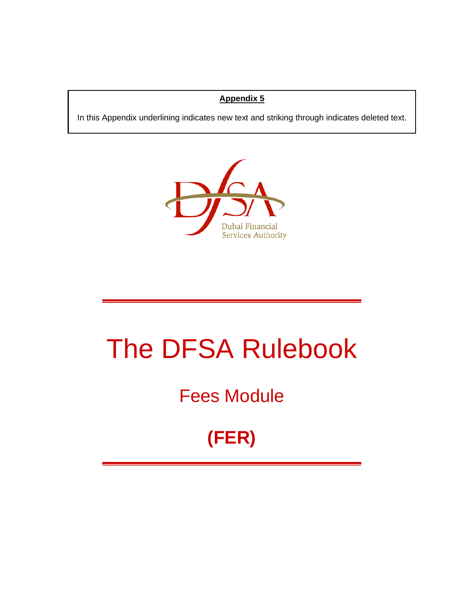### **Appendix 5**

In this Appendix underlining indicates new text and striking through indicates deleted text.



# The DFSA Rulebook

# Fees Module

# **(FER)**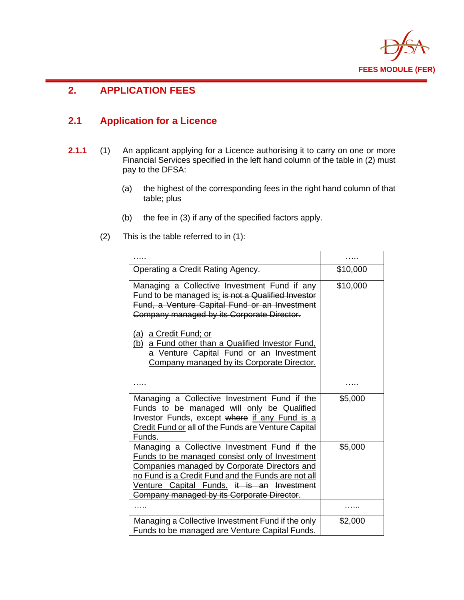

# **2. APPLICATION FEES**

## **2.1 Application for a Licence**

- **2.1.1** (1) An applicant applying for a Licence authorising it to carry on one or more Financial Services specified in the left hand column of the table in (2) must pay to the DFSA:
	- (a) the highest of the corresponding fees in the right hand column of that table; plus
	- (b) the fee in (3) if any of the specified factors apply.
	- (2) This is the table referred to in (1):

| Operating a Credit Rating Agency.                                                                                                                                                                                                                                                                | \$10,000 |
|--------------------------------------------------------------------------------------------------------------------------------------------------------------------------------------------------------------------------------------------------------------------------------------------------|----------|
| Managing a Collective Investment Fund if any<br>Fund to be managed is: is not a Qualified Investor<br>Fund, a Venture Capital Fund or an Investment<br>Company managed by its Corporate Director.<br>a Credit Fund; or<br>(a)<br>(b)<br>a Fund other than a Qualified Investor Fund,             | \$10,000 |
| a Venture Capital Fund or an Investment<br>Company managed by its Corporate Director.                                                                                                                                                                                                            |          |
|                                                                                                                                                                                                                                                                                                  |          |
| Managing a Collective Investment Fund if the<br>Funds to be managed will only be Qualified<br>Investor Funds, except where if any Fund is a<br>Credit Fund or all of the Funds are Venture Capital<br>Funds.                                                                                     | \$5,000  |
| Managing a Collective Investment Fund if the<br>Funds to be managed consist only of Investment<br>Companies managed by Corporate Directors and<br>no Fund is a Credit Fund and the Funds are not all<br>Venture Capital Funds. it is an Investment<br>Company managed by its Corporate Director. | \$5,000  |
|                                                                                                                                                                                                                                                                                                  |          |
| Managing a Collective Investment Fund if the only<br>Funds to be managed are Venture Capital Funds.                                                                                                                                                                                              | \$2,000  |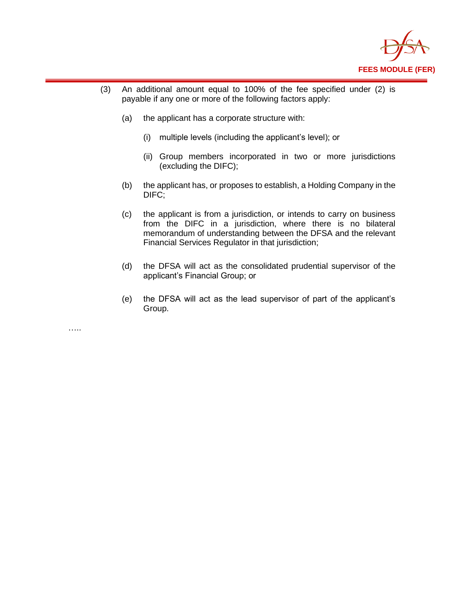

- (3) An additional amount equal to 100% of the fee specified under (2) is payable if any one or more of the following factors apply:
	- (a) the applicant has a corporate structure with:

…..

- (i) multiple levels (including the applicant's level); or
- (ii) Group members incorporated in two or more jurisdictions (excluding the DIFC);
- (b) the applicant has, or proposes to establish, a Holding Company in the DIFC;
- (c) the applicant is from a jurisdiction, or intends to carry on business from the DIFC in a jurisdiction, where there is no bilateral memorandum of understanding between the DFSA and the relevant Financial Services Regulator in that jurisdiction;
- (d) the DFSA will act as the consolidated prudential supervisor of the applicant's Financial Group; or
- (e) the DFSA will act as the lead supervisor of part of the applicant's Group.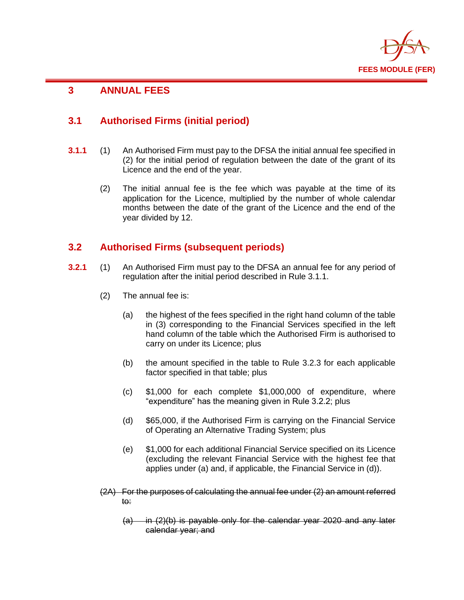

# **3 ANNUAL FEES**

## **3.1 Authorised Firms (initial period)**

- **3.1.1** (1) An Authorised Firm must pay to the DFSA the initial annual fee specified in (2) for the initial period of regulation between the date of the grant of its Licence and the end of the year.
	- (2) The initial annual fee is the fee which was payable at the time of its application for the Licence, multiplied by the number of whole calendar months between the date of the grant of the Licence and the end of the year divided by 12.

### **3.2 Authorised Firms (subsequent periods)**

- **3.2.1** (1) An Authorised Firm must pay to the DFSA an annual fee for any period of regulation after the initial period described in Rule 3.1.1.
	- (2) The annual fee is:
		- (a) the highest of the fees specified in the right hand column of the table in (3) corresponding to the Financial Services specified in the left hand column of the table which the Authorised Firm is authorised to carry on under its Licence; plus
		- (b) the amount specified in the table to Rule 3.2.3 for each applicable factor specified in that table; plus
		- (c) \$1,000 for each complete \$1,000,000 of expenditure, where "expenditure" has the meaning given in Rule 3.2.2; plus
		- (d) \$65,000, if the Authorised Firm is carrying on the Financial Service of Operating an Alternative Trading System; plus
		- (e) \$1,000 for each additional Financial Service specified on its Licence (excluding the relevant Financial Service with the highest fee that applies under (a) and, if applicable, the Financial Service in (d)).
	- (2A) For the purposes of calculating the annual fee under (2) an amount referred to:
		- $(a)$  in  $(2)(b)$  is payable only for the calendar year 2020 and any later calendar year; and